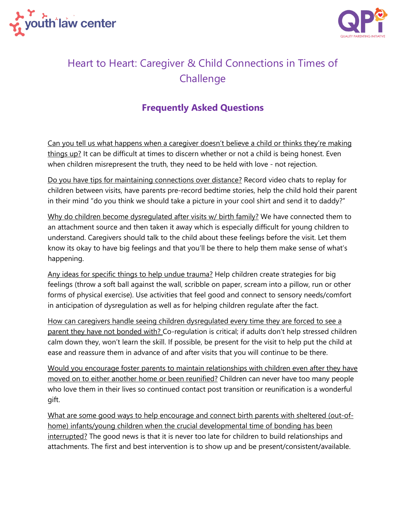



## Heart to Heart: Caregiver & Child Connections in Times of **Challenge**

## **Frequently Asked Questions**

Can you tell us what happens when a caregiver doesn't believe a child or thinks they're making things up? It can be difficult at times to discern whether or not a child is being honest. Even when children misrepresent the truth, they need to be held with love - not rejection.

Do you have tips for maintaining connections over distance? Record video chats to replay for children between visits, have parents pre-record bedtime stories, help the child hold their parent in their mind "do you think we should take a picture in your cool shirt and send it to daddy?"

Why do children become dysregulated after visits w/ birth family? We have connected them to an attachment source and then taken it away which is especially difficult for young children to understand. Caregivers should talk to the child about these feelings before the visit. Let them know its okay to have big feelings and that you'll be there to help them make sense of what's happening.

Any ideas for specific things to help undue trauma? Help children create strategies for big feelings (throw a soft ball against the wall, scribble on paper, scream into a pillow, run or other forms of physical exercise). Use activities that feel good and connect to sensory needs/comfort in anticipation of dysregulation as well as for helping children regulate after the fact.

How can caregivers handle seeing children dysregulated every time they are forced to see a parent they have not bonded with? Co-regulation is critical; if adults don't help stressed children calm down they, won't learn the skill. If possible, be present for the visit to help put the child at ease and reassure them in advance of and after visits that you will continue to be there.

Would you encourage foster parents to maintain relationships with children even after they have moved on to either another home or been reunified? Children can never have too many people who love them in their lives so continued contact post transition or reunification is a wonderful gift.

What are some good ways to help encourage and connect birth parents with sheltered (out-ofhome) infants/young children when the crucial developmental time of bonding has been interrupted? The good news is that it is never too late for children to build relationships and attachments. The first and best intervention is to show up and be present/consistent/available.